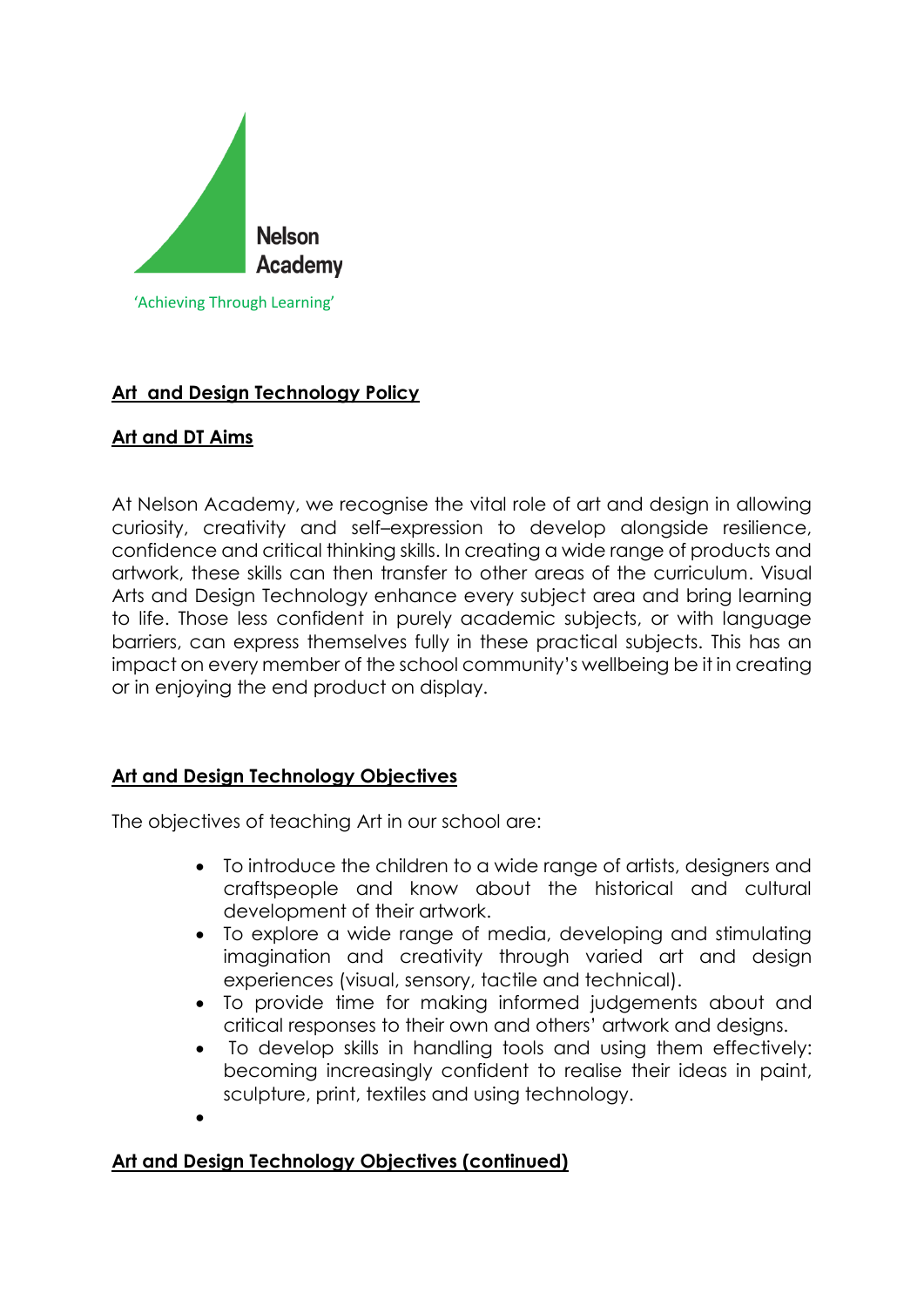

# **Art and Design Technology Policy**

# **Art and DT Aims**

At Nelson Academy, we recognise the vital role of art and design in allowing curiosity, creativity and self–expression to develop alongside resilience, confidence and critical thinking skills. In creating a wide range of products and artwork, these skills can then transfer to other areas of the curriculum. Visual Arts and Design Technology enhance every subject area and bring learning to life. Those less confident in purely academic subjects, or with language barriers, can express themselves fully in these practical subjects. This has an impact on every member of the school community's wellbeing be it in creating or in enjoying the end product on display.

# **Art and Design Technology Objectives**

The objectives of teaching Art in our school are:

- To introduce the children to a wide range of artists, designers and craftspeople and know about the historical and cultural development of their artwork.
- To explore a wide range of media, developing and stimulating imagination and creativity through varied art and design experiences (visual, sensory, tactile and technical).
- To provide time for making informed judgements about and critical responses to their own and others' artwork and designs.
- To develop skills in handling tools and using them effectively: becoming increasingly confident to realise their ideas in paint, sculpture, print, textiles and using technology.
- •

# **Art and Design Technology Objectives (continued)**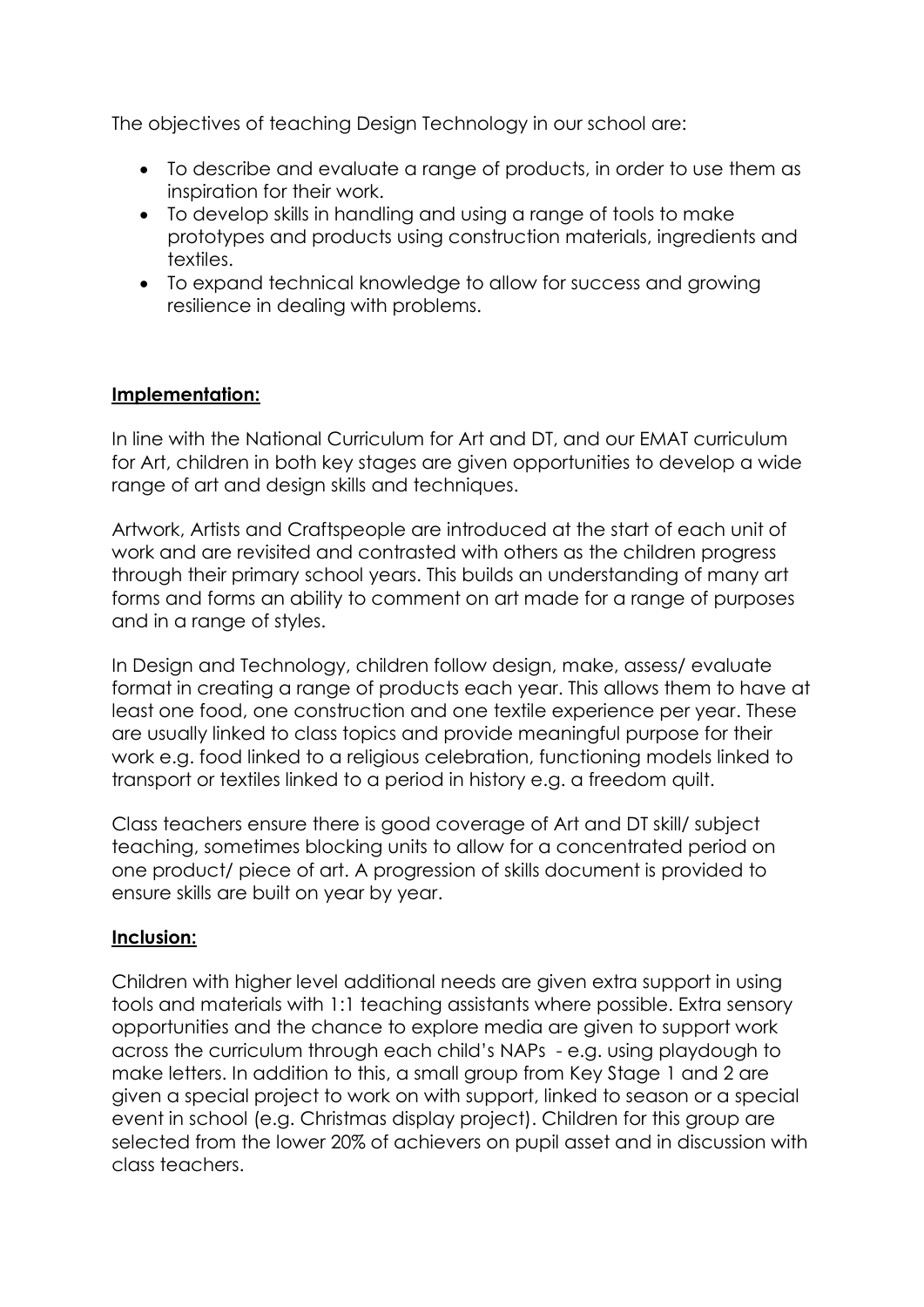The objectives of teaching Design Technology in our school are:

- To describe and evaluate a range of products, in order to use them as inspiration for their work.
- To develop skills in handling and using a range of tools to make prototypes and products using construction materials, ingredients and textiles.
- To expand technical knowledge to allow for success and growing resilience in dealing with problems.

## **Implementation:**

In line with the National Curriculum for Art and DT, and our EMAT curriculum for Art, children in both key stages are given opportunities to develop a wide range of art and design skills and techniques.

Artwork, Artists and Craftspeople are introduced at the start of each unit of work and are revisited and contrasted with others as the children progress through their primary school years. This builds an understanding of many art forms and forms an ability to comment on art made for a range of purposes and in a range of styles.

In Design and Technology, children follow design, make, assess/ evaluate format in creating a range of products each year. This allows them to have at least one food, one construction and one textile experience per year. These are usually linked to class topics and provide meaningful purpose for their work e.g. food linked to a religious celebration, functioning models linked to transport or textiles linked to a period in history e.g. a freedom quilt.

Class teachers ensure there is good coverage of Art and DT skill/ subject teaching, sometimes blocking units to allow for a concentrated period on one product/ piece of art. A progression of skills document is provided to ensure skills are built on year by year.

## **Inclusion:**

Children with higher level additional needs are given extra support in using tools and materials with 1:1 teaching assistants where possible. Extra sensory opportunities and the chance to explore media are given to support work across the curriculum through each child's NAPs - e.g. using playdough to make letters. In addition to this, a small group from Key Stage 1 and 2 are given a special project to work on with support, linked to season or a special event in school (e.g. Christmas display project). Children for this group are selected from the lower 20% of achievers on pupil asset and in discussion with class teachers.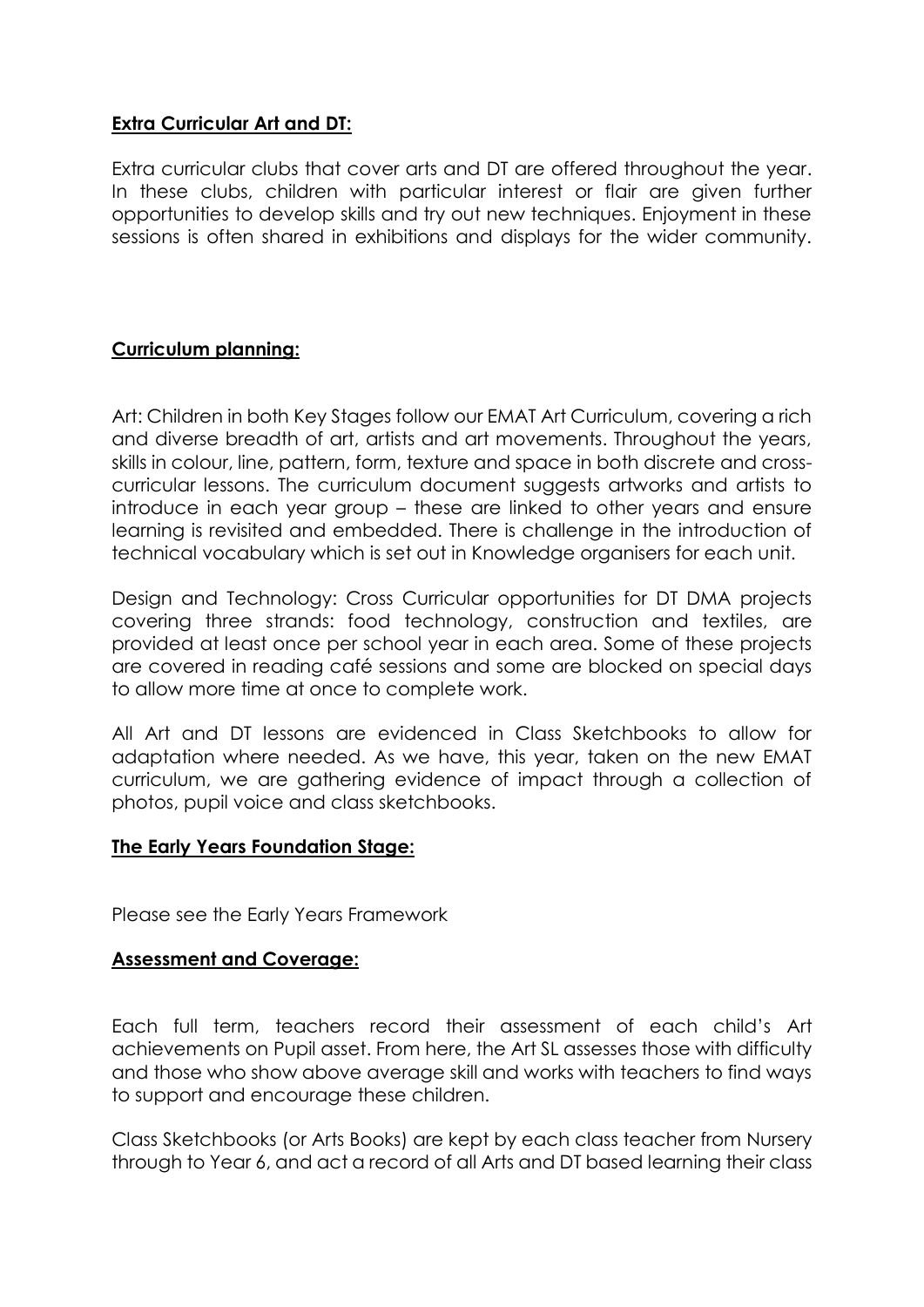## **Extra Curricular Art and DT:**

Extra curricular clubs that cover arts and DT are offered throughout the year. In these clubs, children with particular interest or flair are given further opportunities to develop skills and try out new techniques. Enjoyment in these sessions is often shared in exhibitions and displays for the wider community.

## **Curriculum planning:**

Art: Children in both Key Stages follow our EMAT Art Curriculum, covering a rich and diverse breadth of art, artists and art movements. Throughout the years, skills in colour, line, pattern, form, texture and space in both discrete and crosscurricular lessons. The curriculum document suggests artworks and artists to introduce in each year group – these are linked to other years and ensure learning is revisited and embedded. There is challenge in the introduction of technical vocabulary which is set out in Knowledge organisers for each unit.

Design and Technology: Cross Curricular opportunities for DT DMA projects covering three strands: food technology, construction and textiles, are provided at least once per school year in each area. Some of these projects are covered in reading café sessions and some are blocked on special days to allow more time at once to complete work.

All Art and DT lessons are evidenced in Class Sketchbooks to allow for adaptation where needed. As we have, this year, taken on the new EMAT curriculum, we are gathering evidence of impact through a collection of photos, pupil voice and class sketchbooks.

## **The Early Years Foundation Stage:**

Please see the Early Years Framework

## **Assessment and Coverage:**

Each full term, teachers record their assessment of each child's Art achievements on Pupil asset. From here, the Art SL assesses those with difficulty and those who show above average skill and works with teachers to find ways to support and encourage these children.

Class Sketchbooks (or Arts Books) are kept by each class teacher from Nursery through to Year 6, and act a record of all Arts and DT based learning their class